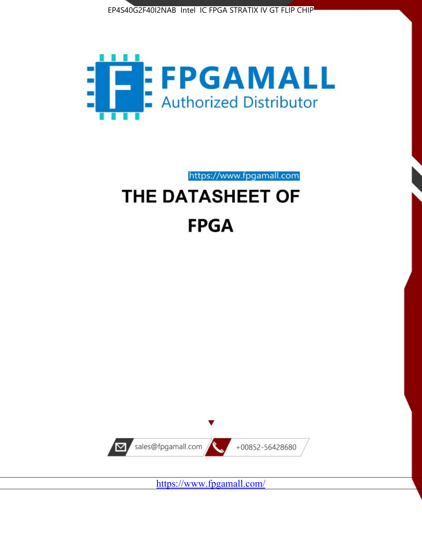



https://www.fpgamall.com

# THE DATASHEET OF **FPGA**



<https://www.fpgamall.com/>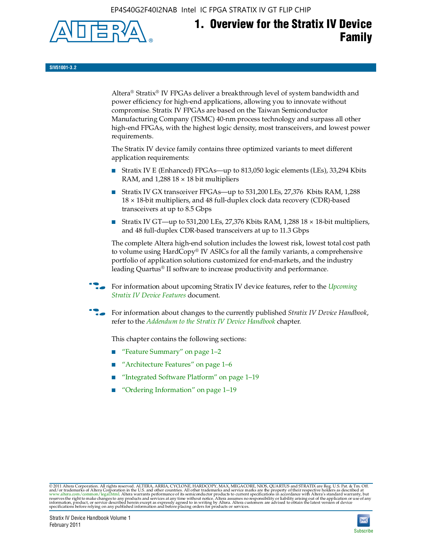EP4S40G2F40I2NAB Intel IC FPGA STRATIX IV GT FLIP CHIP



## **1. Overview for the Stratix IV Device Family**

**SIV51001-3.2**

Altera® Stratix® IV FPGAs deliver a breakthrough level of system bandwidth and power efficiency for high-end applications, allowing you to innovate without compromise. Stratix IV FPGAs are based on the Taiwan Semiconductor Manufacturing Company (TSMC) 40-nm process technology and surpass all other high-end FPGAs, with the highest logic density, most transceivers, and lowest power requirements.

The Stratix IV device family contains three optimized variants to meet different application requirements:

- Stratix IV E (Enhanced) FPGAs—up to 813,050 logic elements (LEs), 33,294 Kbits RAM, and  $1,288$   $18 \times 18$  bit multipliers
- Stratix IV GX transceiver FPGAs—up to 531,200 LEs, 27,376 Kbits RAM, 1,288 18 × 18-bit multipliers, and 48 full-duplex clock data recovery (CDR)-based transceivers at up to 8.5 Gbps
- Stratix IV GT—up to 531,200 LEs, 27,376 Kbits RAM, 1,288 18  $\times$  18-bit multipliers, and 48 full-duplex CDR-based transceivers at up to 11.3 Gbps

The complete Altera high-end solution includes the lowest risk, lowest total cost path to volume using HardCopy® IV ASICs for all the family variants, a comprehensive portfolio of application solutions customized for end-markets, and the industry leading Quartus® II software to increase productivity and performance.

f For information about upcoming Stratix IV device features, refer to the *[Upcoming](http://www.altera.com/literature/hb/stratix-iv/uf01001.pdf?GSA_pos=2&WT.oss_r=1&WT.oss=upcoming)  [Stratix IV Device Features](http://www.altera.com/literature/hb/stratix-iv/uf01001.pdf?GSA_pos=2&WT.oss_r=1&WT.oss=upcoming)* document.

f For information about changes to the currently published *Stratix IV Device Handbook*, refer to the *[Addendum to the Stratix IV Device Handbook](http://www.altera.com/literature/hb/stratix-iv/stx4_siv54002.pdf)* chapter.

This chapter contains the following sections:

- "Feature Summary" on page 1–2
- "Architecture Features" on page 1–6
- "Integrated Software Platform" on page 1–19
- "Ordering Information" on page 1–19

© 2011 Altera Corporation. All rights reserved. ALTERA, ARRIA, CYCLONE, HARDCOPY, MAX, MEGACORE, NIOS, QUARTUS and STRATIX are Reg. U.S. Pat. & Tm. Off.<br>and/or trademarks of Altera Corporation in the U.S. and other countri

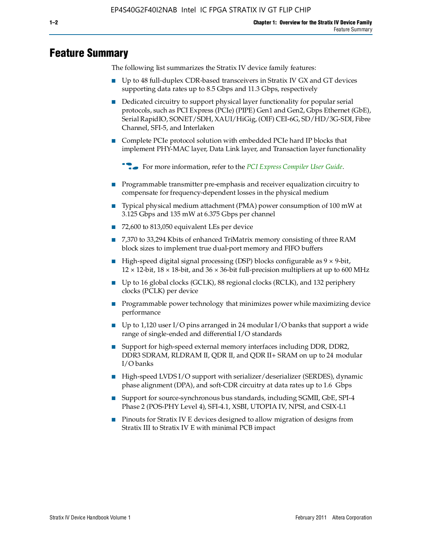### **Feature Summary**

The following list summarizes the Stratix IV device family features:

- Up to 48 full-duplex CDR-based transceivers in Stratix IV GX and GT devices supporting data rates up to 8.5 Gbps and 11.3 Gbps, respectively
- Dedicated circuitry to support physical layer functionality for popular serial protocols, such as PCI Express (PCIe) (PIPE) Gen1 and Gen2, Gbps Ethernet (GbE), Serial RapidIO, SONET/SDH, XAUI/HiGig, (OIF) CEI-6G, SD/HD/3G-SDI, Fibre Channel, SFI-5, and Interlaken
- Complete PCIe protocol solution with embedded PCIe hard IP blocks that implement PHY-MAC layer, Data Link layer, and Transaction layer functionality

**for more information, refer to the [PCI Express Compiler User Guide](http://www.altera.com/literature/ug/ug_pci_express.pdf).** 

- Programmable transmitter pre-emphasis and receiver equalization circuitry to compensate for frequency-dependent losses in the physical medium
- Typical physical medium attachment (PMA) power consumption of 100 mW at 3.125 Gbps and 135 mW at 6.375 Gbps per channel
- 72,600 to 813,050 equivalent LEs per device
- 7,370 to 33,294 Kbits of enhanced TriMatrix memory consisting of three RAM block sizes to implement true dual-port memory and FIFO buffers
- High-speed digital signal processing (DSP) blocks configurable as 9 × 9-bit,  $12 \times 12$ -bit,  $18 \times 18$ -bit, and  $36 \times 36$ -bit full-precision multipliers at up to 600 MHz
- Up to 16 global clocks (GCLK), 88 regional clocks (RCLK), and 132 periphery clocks (PCLK) per device
- Programmable power technology that minimizes power while maximizing device performance
- Up to 1,120 user I/O pins arranged in 24 modular I/O banks that support a wide range of single-ended and differential I/O standards
- Support for high-speed external memory interfaces including DDR, DDR2, DDR3 SDRAM, RLDRAM II, QDR II, and QDR II+ SRAM on up to 24 modular I/O banks
- High-speed LVDS I/O support with serializer/deserializer (SERDES), dynamic phase alignment (DPA), and soft-CDR circuitry at data rates up to 1.6 Gbps
- Support for source-synchronous bus standards, including SGMII, GbE, SPI-4 Phase 2 (POS-PHY Level 4), SFI-4.1, XSBI, UTOPIA IV, NPSI, and CSIX-L1
- Pinouts for Stratix IV E devices designed to allow migration of designs from Stratix III to Stratix IV E with minimal PCB impact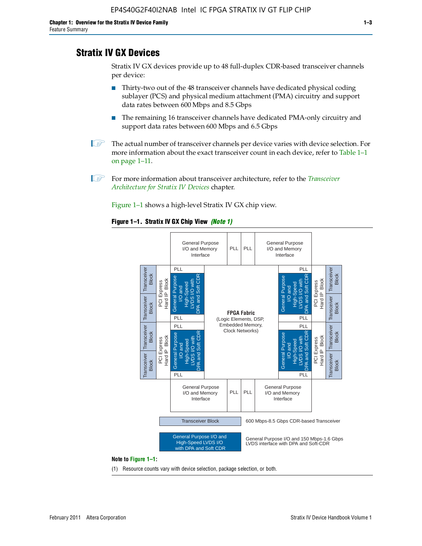### **Stratix IV GX Devices**

Stratix IV GX devices provide up to 48 full-duplex CDR-based transceiver channels per device:

- Thirty-two out of the 48 transceiver channels have dedicated physical coding sublayer (PCS) and physical medium attachment (PMA) circuitry and support data rates between 600 Mbps and 8.5 Gbps
- The remaining 16 transceiver channels have dedicated PMA-only circuitry and support data rates between 600 Mbps and 6.5 Gbps
- **1 The actual number of transceiver channels per device varies with device selection. For** more information about the exact transceiver count in each device, refer to Table 1–1 on page 1–11.
- 1 For more information about transceiver architecture, refer to the *[Transceiver](http://www/literature/hb/stratix-iv/stx4_siv52001.pdf)  [Architecture for Stratix IV Devices](http://www/literature/hb/stratix-iv/stx4_siv52001.pdf)* chapter.

Figure 1–1 shows a high-level Stratix IV GX chip view.

#### **Figure 1–1. Stratix IV GX Chip View** *(Note 1)*



(1) Resource counts vary with device selection, package selection, or both.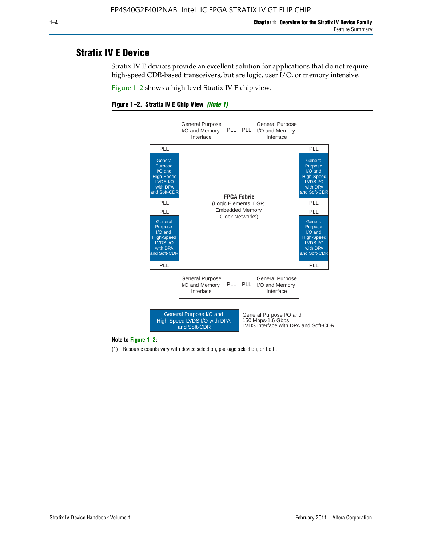### **Stratix IV E Device**

Stratix IV E devices provide an excellent solution for applications that do not require high-speed CDR-based transceivers, but are logic, user I/O, or memory intensive.

Figure 1–2 shows a high-level Stratix IV E chip view.

#### **Figure 1–2. Stratix IV E Chip View** *(Note 1)*



#### **Note to Figure 1–2:**

(1) Resource counts vary with device selection, package selection, or both.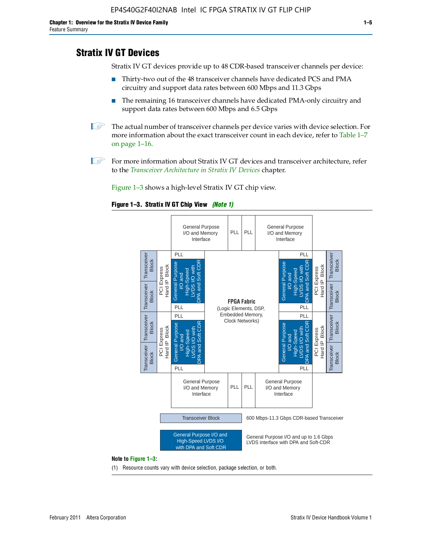### **Stratix IV GT Devices**

Stratix IV GT devices provide up to 48 CDR-based transceiver channels per device:

- Thirty-two out of the 48 transceiver channels have dedicated PCS and PMA circuitry and support data rates between 600 Mbps and 11.3 Gbps
- The remaining 16 transceiver channels have dedicated PMA-only circuitry and support data rates between 600 Mbps and 6.5 Gbps
- **1 The actual number of transceiver channels per device varies with device selection. For** more information about the exact transceiver count in each device, refer to Table 1–7 on page 1–16.
- $\mathbb{I}$  For more information about Stratix IV GT devices and transceiver architecture, refer to the *[Transceiver Architecture in Stratix IV Devices](http://www/literature/hb/stratix-iv/stx4_siv52001.pdf)* chapter.

Figure 1–3 shows a high-level Stratix IV GT chip view.

#### **Figure 1–3. Stratix IV GT Chip View** *(Note 1)*



(1) Resource counts vary with device selection, package selection, or both.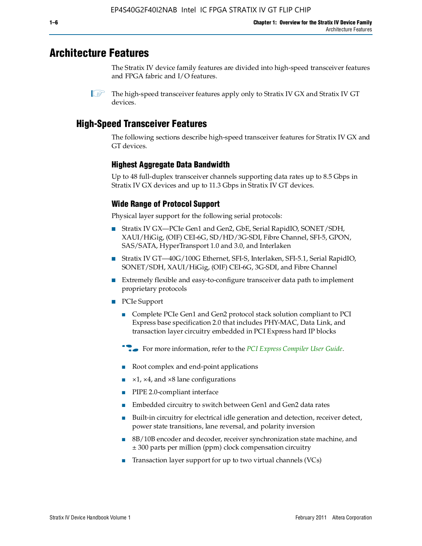### **Architecture Features**

The Stratix IV device family features are divided into high-speed transceiver features and FPGA fabric and I/O features.

### **High-Speed Transceiver Features**

The following sections describe high-speed transceiver features for Stratix IV GX and GT devices.

#### **Highest Aggregate Data Bandwidth**

Up to 48 full-duplex transceiver channels supporting data rates up to 8.5 Gbps in Stratix IV GX devices and up to 11.3 Gbps in Stratix IV GT devices.

#### **Wide Range of Protocol Support**

Physical layer support for the following serial protocols:

- Stratix IV GX—PCIe Gen1 and Gen2, GbE, Serial RapidIO, SONET/SDH, XAUI/HiGig, (OIF) CEI-6G, SD/HD/3G-SDI, Fibre Channel, SFI-5, GPON, SAS/SATA, HyperTransport 1.0 and 3.0, and Interlaken
- Stratix IV GT—40G/100G Ethernet, SFI-S, Interlaken, SFI-5.1, Serial RapidIO, SONET/SDH, XAUI/HiGig, (OIF) CEI-6G, 3G-SDI, and Fibre Channel
- Extremely flexible and easy-to-configure transceiver data path to implement proprietary protocols
- PCIe Support
	- Complete PCIe Gen1 and Gen2 protocol stack solution compliant to PCI Express base specification 2.0 that includes PHY-MAC, Data Link, and transaction layer circuitry embedded in PCI Express hard IP blocks
	- **f For more information, refer to the [PCI Express Compiler User Guide](http://www.altera.com/literature/ug/ug_pci_express.pdf).**
	- Root complex and end-point applications
	- $\blacktriangleright$  ×1, ×4, and ×8 lane configurations
	- PIPE 2.0-compliant interface
	- Embedded circuitry to switch between Gen1 and Gen2 data rates
	- Built-in circuitry for electrical idle generation and detection, receiver detect, power state transitions, lane reversal, and polarity inversion
	- 8B/10B encoder and decoder, receiver synchronization state machine, and ± 300 parts per million (ppm) clock compensation circuitry
	- Transaction layer support for up to two virtual channels (VCs)

 $\mathbb{I}$  The high-speed transceiver features apply only to Stratix IV GX and Stratix IV GT devices.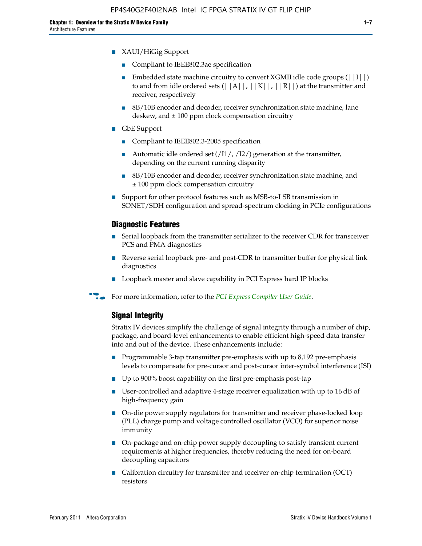- Compliant to IEEE802.3ae specification
- **■** Embedded state machine circuitry to convert XGMII idle code groups  $(|1| \cdot |)$ to and from idle ordered sets  $(||A||, |K||, |R||)$  at the transmitter and receiver, respectively
- 8B/10B encoder and decoder, receiver synchronization state machine, lane deskew, and  $\pm 100$  ppm clock compensation circuitry
- GbE Support
	- Compliant to IEEE802.3-2005 specification
	- Automatic idle ordered set  $(11/7/12/7)$  generation at the transmitter, depending on the current running disparity
	- 8B/10B encoder and decoder, receiver synchronization state machine, and ± 100 ppm clock compensation circuitry
- Support for other protocol features such as MSB-to-LSB transmission in SONET/SDH configuration and spread-spectrum clocking in PCIe configurations

#### **Diagnostic Features**

- Serial loopback from the transmitter serializer to the receiver CDR for transceiver PCS and PMA diagnostics
- Reverse serial loopback pre- and post-CDR to transmitter buffer for physical link diagnostics
- Loopback master and slave capability in PCI Express hard IP blocks
- **For more information, refer to the** *[PCI Express Compiler User Guide](http://www.altera.com/literature/ug/ug_pci_express.pdf)***.**

#### **Signal Integrity**

Stratix IV devices simplify the challenge of signal integrity through a number of chip, package, and board-level enhancements to enable efficient high-speed data transfer into and out of the device. These enhancements include:

- Programmable 3-tap transmitter pre-emphasis with up to 8,192 pre-emphasis levels to compensate for pre-cursor and post-cursor inter-symbol interference (ISI)
- Up to 900% boost capability on the first pre-emphasis post-tap
- User-controlled and adaptive 4-stage receiver equalization with up to 16 dB of high-frequency gain
- On-die power supply regulators for transmitter and receiver phase-locked loop (PLL) charge pump and voltage controlled oscillator (VCO) for superior noise immunity
- On-package and on-chip power supply decoupling to satisfy transient current requirements at higher frequencies, thereby reducing the need for on-board decoupling capacitors
- Calibration circuitry for transmitter and receiver on-chip termination (OCT) resistors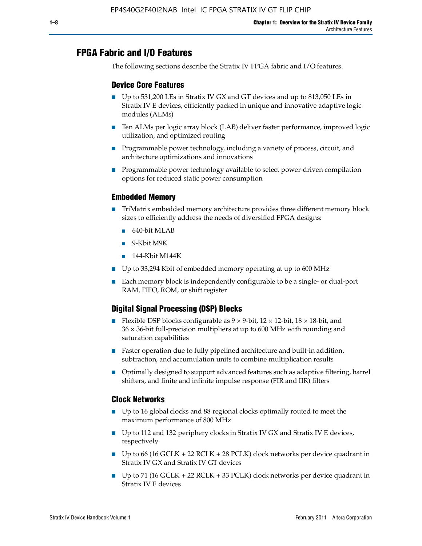### **FPGA Fabric and I/O Features**

The following sections describe the Stratix IV FPGA fabric and I/O features.

#### **Device Core Features**

- Up to 531,200 LEs in Stratix IV GX and GT devices and up to 813,050 LEs in Stratix IV E devices, efficiently packed in unique and innovative adaptive logic modules (ALMs)
- Ten ALMs per logic array block (LAB) deliver faster performance, improved logic utilization, and optimized routing
- Programmable power technology, including a variety of process, circuit, and architecture optimizations and innovations
- Programmable power technology available to select power-driven compilation options for reduced static power consumption

#### **Embedded Memory**

- TriMatrix embedded memory architecture provides three different memory block sizes to efficiently address the needs of diversified FPGA designs:
	- 640-bit MLAB
	- 9-Kbit M9K
	- 144-Kbit M144K
- Up to 33,294 Kbit of embedded memory operating at up to 600 MHz
- Each memory block is independently configurable to be a single- or dual-port RAM, FIFO, ROM, or shift register

#### **Digital Signal Processing (DSP) Blocks**

- Flexible DSP blocks configurable as  $9 \times 9$ -bit,  $12 \times 12$ -bit,  $18 \times 18$ -bit, and 36 × 36-bit full-precision multipliers at up to 600 MHz with rounding and saturation capabilities
- Faster operation due to fully pipelined architecture and built-in addition, subtraction, and accumulation units to combine multiplication results
- Optimally designed to support advanced features such as adaptive filtering, barrel shifters, and finite and infinite impulse response (FIR and IIR) filters

#### **Clock Networks**

- Up to 16 global clocks and 88 regional clocks optimally routed to meet the maximum performance of 800 MHz
- Up to 112 and 132 periphery clocks in Stratix IV GX and Stratix IV E devices, respectively
- Up to 66 (16 GCLK + 22 RCLK + 28 PCLK) clock networks per device quadrant in Stratix IV GX and Stratix IV GT devices
- **•** Up to 71 (16 GCLK + 22 RCLK + 33 PCLK) clock networks per device quadrant in Stratix IV E devices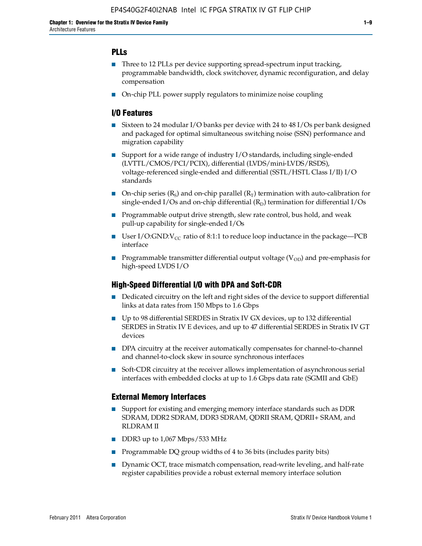#### **PLLs**

- Three to 12 PLLs per device supporting spread-spectrum input tracking, programmable bandwidth, clock switchover, dynamic reconfiguration, and delay compensation
- On-chip PLL power supply regulators to minimize noise coupling

#### **I/O Features**

- Sixteen to 24 modular I/O banks per device with 24 to 48 I/Os per bank designed and packaged for optimal simultaneous switching noise (SSN) performance and migration capability
- Support for a wide range of industry I/O standards, including single-ended (LVTTL/CMOS/PCI/PCIX), differential (LVDS/mini-LVDS/RSDS), voltage-referenced single-ended and differential (SSTL/HSTL Class I/II) I/O standards
- **O**n-chip series  $(R_S)$  and on-chip parallel  $(R_T)$  termination with auto-calibration for single-ended I/Os and on-chip differential  $(R_D)$  termination for differential I/Os
- Programmable output drive strength, slew rate control, bus hold, and weak pull-up capability for single-ended I/Os
- User I/O:GND:V<sub>CC</sub> ratio of 8:1:1 to reduce loop inductance in the package—PCB interface
- **•** Programmable transmitter differential output voltage ( $V_{OD}$ ) and pre-emphasis for high-speed LVDS I/O

#### **High-Speed Differential I/O with DPA and Soft-CDR**

- Dedicated circuitry on the left and right sides of the device to support differential links at data rates from 150 Mbps to 1.6 Gbps
- Up to 98 differential SERDES in Stratix IV GX devices, up to 132 differential SERDES in Stratix IV E devices, and up to 47 differential SERDES in Stratix IV GT devices
- DPA circuitry at the receiver automatically compensates for channel-to-channel and channel-to-clock skew in source synchronous interfaces
- Soft-CDR circuitry at the receiver allows implementation of asynchronous serial interfaces with embedded clocks at up to 1.6 Gbps data rate (SGMII and GbE)

#### **External Memory Interfaces**

- Support for existing and emerging memory interface standards such as DDR SDRAM, DDR2 SDRAM, DDR3 SDRAM, QDRII SRAM, QDRII+ SRAM, and RLDRAM II
- DDR3 up to 1,067 Mbps/533 MHz
- Programmable DQ group widths of 4 to 36 bits (includes parity bits)
- Dynamic OCT, trace mismatch compensation, read-write leveling, and half-rate register capabilities provide a robust external memory interface solution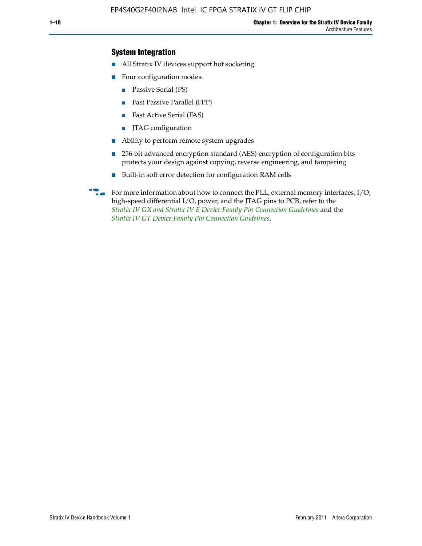### **System Integration**

- All Stratix IV devices support hot socketing
- Four configuration modes:
	- Passive Serial (PS)
	- Fast Passive Parallel (FPP)
	- Fast Active Serial (FAS)
	- JTAG configuration
- Ability to perform remote system upgrades
- 256-bit advanced encryption standard (AES) encryption of configuration bits protects your design against copying, reverse engineering, and tampering
- Built-in soft error detection for configuration RAM cells

For more information about how to connect the PLL, external memory interfaces,  $I/O$ , high-speed differential I/O, power, and the JTAG pins to PCB, refer to the *[Stratix IV GX and Stratix IV E Device Family Pin Connection Guidelines](http://www.altera.com/literature/dp/stratix4/PCG-01005.pdf)* and the *[Stratix IV GT Device Family Pin Connection Guidelines](http://www.altera.com/literature/dp/stratix4/PCG-01006.pdf)*.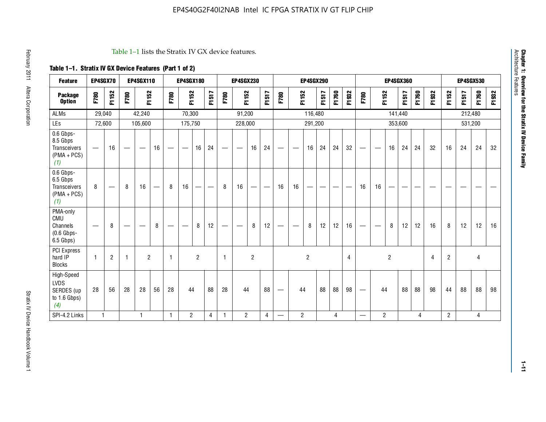| <b>Feature</b>                                                       | EP4SGX70                       |                   |                                  | <b>EP4SGX110</b>                |    |                          | <b>EP4SGX180</b> |                               |                          |             | <b>EP4SGX230</b> |                                   |                   |                                 |                | <b>EP4SGX290</b>  |                          |       |                |                                  |                          |                | <b>EP4SGX360</b> |       |       |                |         | <b>EP4SGX530</b> |          |
|----------------------------------------------------------------------|--------------------------------|-------------------|----------------------------------|---------------------------------|----|--------------------------|------------------|-------------------------------|--------------------------|-------------|------------------|-----------------------------------|-------------------|---------------------------------|----------------|-------------------|--------------------------|-------|----------------|----------------------------------|--------------------------|----------------|------------------|-------|-------|----------------|---------|------------------|----------|
| <b>Package</b><br><b>Option</b>                                      | F780                           | F1152             | F780                             | F1152                           |    | F780                     | F1152            |                               | F1517                    | F780        | F1152            |                                   | F1517             | F780                            |                | F1152             | F1517                    | F1760 | F1932          | F780                             | F1152                    |                | F1517            | F1760 | F1932 | F1152          | F1517   | F1760            | 932<br>됴 |
| <b>ALMs</b>                                                          |                                | 29,040            |                                  | 42,240                          |    |                          | 70,300           |                               |                          |             | 91,200           |                                   |                   |                                 |                | 116,480           |                          |       |                |                                  |                          | 141,440        |                  |       |       |                | 212,480 |                  |          |
| LEs                                                                  |                                | 72,600            |                                  | 105,600                         |    |                          | 175,750          |                               |                          |             | 228,000          |                                   |                   |                                 |                | 291,200           |                          |       |                |                                  |                          |                | 353,600          |       |       |                | 531,200 |                  |          |
| 0.6 Gbps-<br>8.5 Gbps<br><b>Transceivers</b><br>$(PMA + PCs)$<br>(1) | $\qquad \qquad \longleftarrow$ | 16                | $\overbrace{\phantom{12322111}}$ | $\hspace{0.1mm}-\hspace{0.1mm}$ | 16 | $\overline{\phantom{m}}$ | —                | 16                            | 24                       | —           |                  | 16                                | 24                | $\hspace{0.1mm}-\hspace{0.1mm}$ |                | 16                | 24                       | 24    | 32             | $\hspace{0.05cm}$                | $\overline{\phantom{m}}$ | 16             | 24               | 24    | 32    | 16             | 24      | 24               | 32       |
| 0.6 Gbps-<br>6.5 Gbps<br>Transceivers<br>$(PMA + PCs)$<br>(1)        | 8                              | $\hspace{0.05cm}$ | 8                                | 16                              |    | 8                        | 16               | $\overbrace{\phantom{13333}}$ | $\overline{\phantom{0}}$ | 8           | 16               | $\overbrace{\phantom{123221111}}$ | $\hspace{0.05cm}$ | 16                              | 16             | $\hspace{0.05cm}$ | $\overline{\phantom{0}}$ | --    |                | 16                               | 16                       | —              | -                |       | --    | --             |         |                  |          |
| PMA-only<br>CMU<br>Channels<br>$(0.6$ Gbps-<br>6.5 Gbps)             | $\overline{\phantom{m}}$       | 8                 | $\overline{\phantom{0}}$         |                                 | 8  |                          |                  | 8                             | 12                       |             |                  | 8                                 | 12                | $\hspace{0.1mm}-\hspace{0.1mm}$ |                | 8                 | 12                       | 12    | 16             |                                  | $\overline{\phantom{0}}$ | 8              | 12               | 12    | 16    | 8              | 12      | 12               | 16       |
| PCI Express<br>hard IP<br><b>Blocks</b>                              | $\overline{1}$                 | $\overline{2}$    | $\mathbf{1}$                     | $\overline{2}$                  |    | $\mathbf{1}$             |                  | $\overline{2}$                |                          | $\mathbf 1$ |                  | $\overline{2}$                    |                   |                                 |                | $\overline{c}$    |                          |       | $\overline{4}$ |                                  |                          | $\overline{c}$ |                  |       | 4     | $\overline{2}$ |         | 4                |          |
| High-Speed<br><b>LVDS</b><br>SERDES (up<br>to $1.6$ Gbps)<br>(4)     | 28                             | 56                | 28                               | 28                              | 56 | 28                       | 44               |                               | 88                       | 28          | 44               |                                   | 88                |                                 | 44             |                   | 88                       | 88    | 98             | $\overbrace{\phantom{12322111}}$ | 44                       |                | 88               | 88    | 98    | 44             | 88      | 88               | 98       |
| SPI-4.2 Links                                                        | $\mathbf{1}$                   |                   |                                  | $\mathbf{1}$                    |    | $\mathbf{1}$             | $\overline{2}$   |                               | 4                        | -1          | $\overline{2}$   |                                   | $\overline{4}$    |                                 | $\overline{2}$ |                   |                          | 4     |                | $\overbrace{\phantom{12322111}}$ | $\overline{2}$           |                |                  | 4     |       | $\overline{2}$ |         | 4                |          |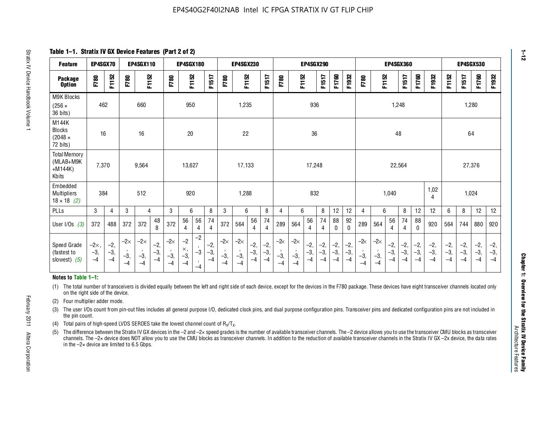**Table 1–1. Stratix IV GX Device Features (Part 2 of 2)**

| <b>Feature</b>                                                                                                                                                                                                                                                                                                                                                                                                                                                                      | EP4SGX70                    |                        |                             | EP4SGX110                   |                        |                             | EP4SGX180                           |                      |                        |                             | <b>EP4SGX230</b>            |                        |                        |                    |                             | <b>EP4SGX290</b>       |                        |                        |                        |                       |                             | <b>EP4SGX360</b>       |                        |                        |                        |                        | <b>EP4SGX530</b>       |                        |                        |
|-------------------------------------------------------------------------------------------------------------------------------------------------------------------------------------------------------------------------------------------------------------------------------------------------------------------------------------------------------------------------------------------------------------------------------------------------------------------------------------|-----------------------------|------------------------|-----------------------------|-----------------------------|------------------------|-----------------------------|-------------------------------------|----------------------|------------------------|-----------------------------|-----------------------------|------------------------|------------------------|--------------------|-----------------------------|------------------------|------------------------|------------------------|------------------------|-----------------------|-----------------------------|------------------------|------------------------|------------------------|------------------------|------------------------|------------------------|------------------------|------------------------|
| <b>Package</b><br><b>Option</b>                                                                                                                                                                                                                                                                                                                                                                                                                                                     | F780                        | F1152                  | F780                        | F1152                       |                        | F780                        | F1152                               |                      | F1517                  | F780                        | F1152                       |                        | F1517                  | F780               | F1152                       |                        | F1517                  | F1760                  | F1932                  | F780                  | F1152                       |                        | F1517                  | F1760                  | F1932                  | F1152                  | F1517                  | F1760                  | F1932                  |
| M9K Blocks<br>$(256 \times$<br>36 bits)                                                                                                                                                                                                                                                                                                                                                                                                                                             | 462                         |                        |                             | 660                         |                        |                             | 950                                 |                      |                        |                             | 1,235                       |                        |                        |                    |                             | 936                    |                        |                        |                        |                       |                             | 1,248                  |                        |                        |                        |                        |                        | 1,280                  |                        |
| M144K<br><b>Blocks</b><br>$(2048 \times$<br>72 bits)                                                                                                                                                                                                                                                                                                                                                                                                                                | 16                          |                        |                             | 16                          |                        |                             | 20                                  |                      |                        |                             | 22                          |                        |                        |                    |                             | 36                     |                        |                        |                        |                       |                             | 48                     |                        |                        |                        |                        | 64                     |                        |                        |
| <b>Total Memory</b><br>(MLAB+M9K<br>$+M144K)$<br>Kbits                                                                                                                                                                                                                                                                                                                                                                                                                              | 7,370                       |                        |                             | 9,564                       |                        |                             | 13.627                              |                      |                        |                             | 17,133                      |                        |                        |                    |                             | 17,248                 |                        |                        |                        |                       |                             | 22,564                 |                        |                        |                        |                        |                        | 27,376                 |                        |
| Embedded<br>Multipliers<br>$18 \times 18$ (2)                                                                                                                                                                                                                                                                                                                                                                                                                                       | 384                         |                        |                             | 512                         |                        |                             | 920                                 |                      |                        |                             | 1,288                       |                        |                        |                    |                             | 832                    |                        |                        |                        |                       |                             | 1,040                  |                        |                        | 1,02<br>4              |                        |                        | 1,024                  |                        |
| PLLs                                                                                                                                                                                                                                                                                                                                                                                                                                                                                | 3                           | $\overline{4}$         | 3                           | $\overline{4}$              |                        | 3                           | 6                                   |                      | 8                      | 3                           | 6                           |                        | 8                      | 4                  | 6                           |                        | 8                      | 12                     | 12                     | 4                     | 6                           |                        | 8                      | 12                     | 12                     | 6                      | 8                      | 12                     | 12                     |
| User I/Os $(3)$                                                                                                                                                                                                                                                                                                                                                                                                                                                                     | 372                         | 488                    | 372                         | 372                         | 48<br>8                | 372                         | 56<br>$\overline{4}$                | 56<br>4              | 74<br>$\overline{4}$   | 372                         | 564                         | 56<br>4                | 74<br>4                | 289                | 564                         | 56<br>$\overline{4}$   | 74<br>$\overline{4}$   | 88<br>$\mathbf{0}$     | 92<br>$\mathbf{0}$     | 289                   | 564                         | 56<br>4                | 74<br>$\overline{4}$   | 88<br>$\Omega$         | 920                    | 564                    | 744                    | 880                    | 920                    |
| Speed Grade<br>(fastest to<br>slowest) $(5)$                                                                                                                                                                                                                                                                                                                                                                                                                                        | $-2\times$<br>$-3,$<br>$-4$ | $-2,$<br>$-3,$<br>$-4$ | $-2\times$<br>$-3,$<br>$-4$ | $-2\times$<br>$-3,$<br>$-4$ | $-2,$<br>$-3,$<br>$-4$ | $-2\times$<br>$-3,$<br>$-4$ | $-2$<br>$\times$ ,<br>$-3,$<br>$-4$ | $-2$<br>$-3$<br>$-4$ | $-2,$<br>$-3,$<br>$-4$ | $-2\times$<br>$-3,$<br>$-4$ | $-2\times$<br>$-3,$<br>$-4$ | $-2,$<br>$-3,$<br>$-4$ | $-2,$<br>$-3,$<br>$-4$ | -2∝<br>$-3,$<br>-4 | $-2\times$<br>$-3,$<br>$-4$ | $-2,$<br>$-3,$<br>$-4$ | $-2,$<br>$-3,$<br>$-4$ | $-2,$<br>$-3,$<br>$-4$ | $-2,$<br>$-3,$<br>$-4$ | $-2$<br>$-3,$<br>$-4$ | $-2\times$<br>$-3,$<br>$-4$ | $-2,$<br>$-3,$<br>$-4$ | $-2,$<br>$-3,$<br>$-4$ | $-2,$<br>$-3,$<br>$-4$ | $-2,$<br>$-3,$<br>$-4$ | $-2,$<br>$-3,$<br>$-4$ | $-2,$<br>$-3,$<br>$-4$ | $-2,$<br>$-3,$<br>$-4$ | $-2,$<br>$-3,$<br>$-4$ |
| Notes to Table 1-1:                                                                                                                                                                                                                                                                                                                                                                                                                                                                 |                             |                        |                             |                             |                        |                             |                                     |                      |                        |                             |                             |                        |                        |                    |                             |                        |                        |                        |                        |                       |                             |                        |                        |                        |                        |                        |                        |                        |                        |
| (1) The total number of transceivers is divided equally between the left and right side of each device, except for the devices in the F780 package. These devices have eight transceiver channels located only<br>on the right side of the device.<br>Four multiplier adder mode.<br>(2)                                                                                                                                                                                            |                             |                        |                             |                             |                        |                             |                                     |                      |                        |                             |                             |                        |                        |                    |                             |                        |                        |                        |                        |                       |                             |                        |                        |                        |                        |                        |                        |                        |                        |
| The user I/Os count from pin-out files includes all general purpose I/O, dedicated clock pins, and dual purpose configuration pins. Transceiver pins and dedicated configuration pins are not included in<br>(3)<br>the pin count.                                                                                                                                                                                                                                                  |                             |                        |                             |                             |                        |                             |                                     |                      |                        |                             |                             |                        |                        |                    |                             |                        |                        |                        |                        |                       |                             |                        |                        |                        |                        |                        |                        |                        |                        |
| Total pairs of high-speed LVDS SERDES take the lowest channel count of $R_x/T_x$ .<br>(4)                                                                                                                                                                                                                                                                                                                                                                                           |                             |                        |                             |                             |                        |                             |                                     |                      |                        |                             |                             |                        |                        |                    |                             |                        |                        |                        |                        |                       |                             |                        |                        |                        |                        |                        |                        |                        |                        |
| The difference between the Stratix IV GX devices in the -2 and -2x speed grades is the number of available transceiver channels. The -2 device allows you to use the transceiver CMU blocks as transceiver<br>(5)<br>channels. The -2x device does NOT allow you to use the CMU blocks as transceiver channels. In addition to the reduction of available transceiver channels in the Stratix IV GX -2x device, the data rates<br>in the $-2\times$ device are limited to 6.5 Gbps. |                             |                        |                             |                             |                        |                             |                                     |                      |                        |                             |                             |                        |                        |                    |                             |                        |                        |                        |                        |                       |                             |                        |                        |                        |                        |                        |                        |                        |                        |

#### **Notes to Table 1–1:**

- (1) The total number of transceivers is divided equally between the left and right side of each device, except for the devices in the F780 package. These devices have eight transceiver channels located only on the right side of the device.
- (2) Four multiplier adder mode.
- (3) The user I/Os count from pin-out files includes all general purpose I/O, dedicated clock pins, and dual purpose configuration pins. Transceiver pins and dedicated configuration pins are not included in the pin count.
- (4) Total pairs of high-speed LVDS SERDES take the lowest channel count of  $R_X/T_X$ .
- (5) The difference between the Stratix IV GX devices in the –2 and –2× speed grades is the number of available transceiver channels. The –2 device allows you to use the transceiver CMU blocks as transceiver channels. The –2× device does NOT allow you to use the CMU blocks as transceiver channels. In addition to the reduction of available transceiver channels in the Stratix IV GX –2x device, the data rates in the  $-2\times$  device are limited to 6.5 Gbps.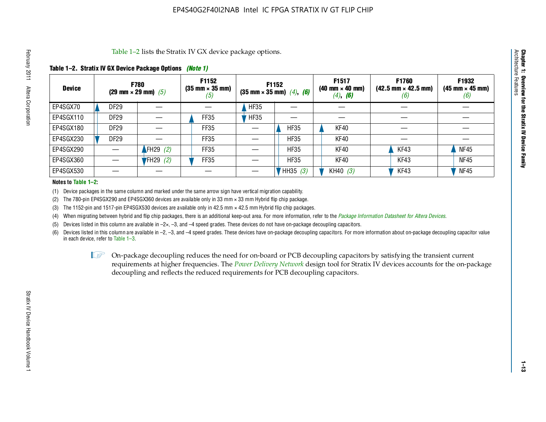#### **Table 1–2. Stratix IV GX Device Package Options** *(Note 1)*

|               | Table 1–2 lists the Stratix IV GX device package options.<br>Architecture                                                                                                                                                                                                                                                                                                         |                  |            |      |             |             |            |      |             |  |  |  |  |  |  |
|---------------|-----------------------------------------------------------------------------------------------------------------------------------------------------------------------------------------------------------------------------------------------------------------------------------------------------------------------------------------------------------------------------------|------------------|------------|------|-------------|-------------|------------|------|-------------|--|--|--|--|--|--|
|               | Table 1–2. Stratix IV GX Device Package Options <i>(Note 1)</i>                                                                                                                                                                                                                                                                                                                   |                  |            |      |             |             |            |      |             |  |  |  |  |  |  |
| <b>Device</b> | Features<br>F1932<br>F1517<br>F1760<br><b>F1152</b><br>F1152<br><b>F780</b><br>$(35 \text{ mm} \times 35 \text{ mm})$<br>$(42.5 \text{ mm} \times 42.5 \text{ mm})$<br>$(40 \text{ mm} \times 40 \text{ mm})$<br>$(45 \text{ mm} \times 45 \text{ mm})$<br>(29 mm $\times$ 29 mm) (5)<br>$(35 \text{ mm} \times 35 \text{ mm})$ $(4)$ , $(6)$<br>$(4)$ , <b>(6)</b><br>(6)<br>(b) |                  |            |      |             |             |            |      |             |  |  |  |  |  |  |
| EP4SGX70      |                                                                                                                                                                                                                                                                                                                                                                                   | DF29             |            |      | <b>HF35</b> |             |            |      |             |  |  |  |  |  |  |
| EP4SGX110     |                                                                                                                                                                                                                                                                                                                                                                                   | <b>DF29</b>      |            | FF35 | HFS5        |             |            |      |             |  |  |  |  |  |  |
| EP4SGX180     |                                                                                                                                                                                                                                                                                                                                                                                   | DF29             |            | FF35 |             | <b>HF35</b> | KF40       |      |             |  |  |  |  |  |  |
| EP4SGX230     |                                                                                                                                                                                                                                                                                                                                                                                   | DF <sub>29</sub> |            | FF35 |             | <b>HF35</b> | KF40       |      |             |  |  |  |  |  |  |
| EP4SGX290     |                                                                                                                                                                                                                                                                                                                                                                                   |                  | FH29 $(2)$ | FF35 |             | <b>HF35</b> | KF40       | KF43 | <b>NF45</b> |  |  |  |  |  |  |
| EP4SGX360     |                                                                                                                                                                                                                                                                                                                                                                                   |                  | $FH29$ (2) | FF35 |             | <b>HF35</b> | KF40       | KF43 | <b>NF45</b> |  |  |  |  |  |  |
| EP4SGX530     |                                                                                                                                                                                                                                                                                                                                                                                   |                  |            |      |             | HH35 (3)    | KH40 $(3)$ | KF43 | <b>NF45</b> |  |  |  |  |  |  |

#### **Notes to Table 1–2:**

(1) Device packages in the same column and marked under the same arrow sign have vertical migration capability.

(2) The 780-pin EP4SGX290 and EP4SGX360 devices are available only in 33 mm × 33 mm Hybrid flip chip package.

(3) The 1152-pin and 1517-pin EP4SGX530 devices are available only in 42.5 mm  $\times$  42.5 mm Hybrid flip chip packages.

(4) When migrating between hybrid and flip chip packages, there is an additional keep-out area. For more information, refer to the *[Package Information Datasheet for Altera Devices](http://www.altera.com/literature/ds/dspkg.pdf)*.

(5) Devices listed in this column are available in  $-2\times$ ,  $-3$ , and  $-4$  speed grades. These devices do not have on-package decoupling capacitors.

(6) Devices listed in this column are available in –2, –3, and –4 speed grades. These devices have on-package decoupling capacitors. For more information about on-package decoupling capacitor value in each device, refer to Table 1–3.

 $I \otimes$  On-package decoupling reduces the need for on-board or PCB decoupling capacitors by satisfying the transient current requirements at higher frequencies. The *[Power Delivery Network](http://www.altera.com/literature/ug/pdn_tool_stxiv.zip)* design tool for Stratix IV devices accounts for the on-package decoupling and reflects the reduced requirements for PCB decoupling capacitors.

**Chapter 1: Overview for the Stratix IV Device Family**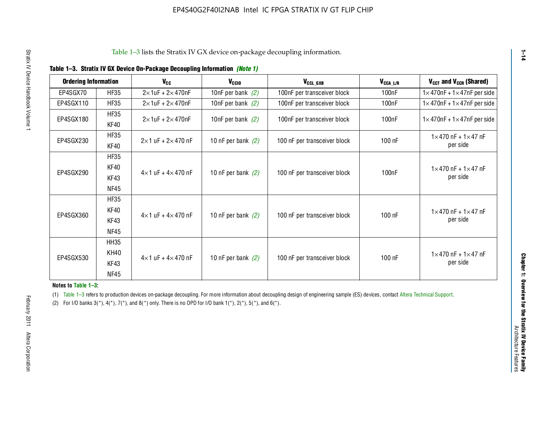| <b>Ordering Information</b> |                     | <b>V<sub>cc</sub></b>             | $V_{CGI0}$           | V <sub>CCL GXB</sub>         | $V_{\text{CCA}\_\text{L/R}}$ | $V_{CCT}$ and $V_{CCR}$ (Shared)                 |
|-----------------------------|---------------------|-----------------------------------|----------------------|------------------------------|------------------------------|--------------------------------------------------|
| EP4SGX70                    | <b>HF35</b>         | $2\times$ 1uF + 2 $\times$ 470nF  | 10nF per bank $(2)$  | 100nF per transceiver block  | 100 <sub>nF</sub>            | $1 \times 470$ nF + $1 \times 47$ nF per side    |
| EP4SGX110                   | <b>HF35</b>         | $2\times 1$ uF + $2\times 470$ nF | 10nF per bank $(2)$  | 100nF per transceiver block  | 100 <sub>nF</sub>            | $1 \times 470$ nF + $1 \times 47$ nF per side    |
| EP4SGX180                   | <b>HF35</b>         | $2\times 1$ uF + $2\times 470$ nF | 10nF per bank $(2)$  | 100nF per transceiver block  | 100nF                        | $1 \times 470$ nF + $1 \times 47$ nF per side    |
|                             | KF40                |                                   |                      |                              |                              |                                                  |
| EP4SGX230                   | <b>HF35</b><br>KF40 | $2\times1$ uF + $2\times470$ nF   | 10 nF per bank $(2)$ | 100 nF per transceiver block | 100 nF                       | $1 \times 470$ nF + $1 \times 47$ nF<br>per side |
|                             | <b>HF35</b>         |                                   |                      |                              |                              |                                                  |
|                             | KF40                |                                   |                      |                              |                              | $1 \times 470$ nF + $1 \times 47$ nF             |
| EP4SGX290                   | KF43                | $4\times1$ uF + $4\times470$ nF   | 10 nF per bank $(2)$ | 100 nF per transceiver block | 100nF                        | per side                                         |
|                             | NF45                |                                   |                      |                              |                              |                                                  |
|                             | <b>HF35</b>         |                                   |                      |                              |                              |                                                  |
| EP4SGX360                   | KF40                | $4\times1$ uF + $4\times470$ nF   | 10 nF per bank $(2)$ | 100 nF per transceiver block | 100 nF                       | $1 \times 470$ nF + $1 \times 47$ nF             |
|                             | KF43                |                                   |                      |                              |                              | per side                                         |
|                             | <b>NF45</b>         |                                   |                      |                              |                              |                                                  |
|                             | <b>HH35</b>         |                                   |                      |                              |                              |                                                  |
| EP4SGX530                   | <b>KH40</b>         | $4\times1$ uF + $4\times470$ nF   | 10 nF per bank $(2)$ | 100 nF per transceiver block | 100 nF                       | $1 \times 470$ nF + $1 \times 47$ nF             |
|                             | KF43                |                                   |                      |                              |                              | per side                                         |
|                             | <b>NF45</b>         |                                   |                      |                              |                              |                                                  |

#### **Notes to Table 1–3:**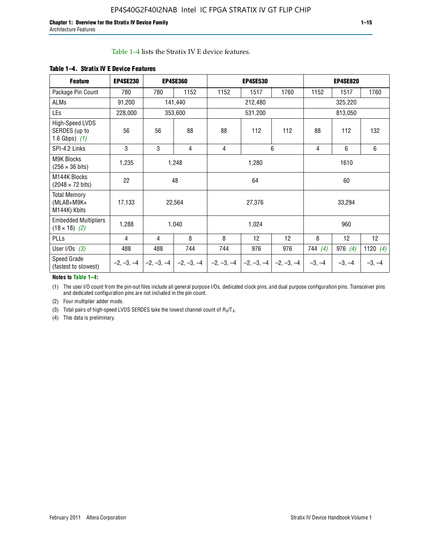#### Table 1–4 lists the Stratix IV E device features.

| <b>Feature</b>                                      | <b>EP4SE230</b> |              | <b>EP4SE360</b> |              | <b>EP4SE530</b> |              |          | <b>EP4SE820</b> |                 |  |
|-----------------------------------------------------|-----------------|--------------|-----------------|--------------|-----------------|--------------|----------|-----------------|-----------------|--|
| Package Pin Count                                   | 780             | 780          | 1152            | 1152         | 1517            | 1760         | 1152     | 1517            | 1760            |  |
| ALMs                                                | 91,200          |              | 141,440         |              | 212,480         |              |          | 325,220         |                 |  |
| LEs                                                 | 228,000         |              | 353,600         |              | 531,200         |              |          | 813,050         |                 |  |
| High-Speed LVDS<br>SERDES (up to<br>1.6 Gbps) $(1)$ | 56              | 56           | 88              | 88           | 112             | 112          | 88       | 112             | 132             |  |
| SPI-4.2 Links                                       | 3               | 3            | 4               | 4            |                 | 6            | 4        | $6\phantom{1}$  | 6               |  |
| <b>M9K Blocks</b><br>$(256 \times 36 \text{ bits})$ | 1,235           |              | 1,248           |              | 1,280           |              |          | 1610            |                 |  |
| M144K Blocks<br>$(2048 \times 72 \text{ bits})$     | 22              |              | 48              |              | 64              |              |          | 60              |                 |  |
| <b>Total Memory</b><br>$(MLAB+M9K+$<br>M144K) Kbits | 17,133          |              | 22,564          |              | 27,376          |              |          | 33,294          |                 |  |
| <b>Embedded Multipliers</b><br>$(18 \times 18)$ (2) | 1,288           |              | 1,040           |              | 1,024           |              |          | 960             |                 |  |
| PLLs                                                | 4               | 4            | 8               | 8            | 12              | 12           | 8        | 12              | 12 <sup>°</sup> |  |
| User I/Os $(3)$                                     | 488             | 488          | 744             | 744          | 976             | 976          | 744(4)   | 976 $(4)$       | 1120 $(4)$      |  |
| Speed Grade<br>(fastest to slowest)                 | $-2, -3, -4$    | $-2, -3, -4$ | $-2, -3, -4$    | $-2, -3, -4$ | $-2, -3, -4$    | $-2, -3, -4$ | $-3, -4$ | $-3, -4$        | $-3, -4$        |  |

#### **Table 1–4. Stratix IV E Device Features**

#### **Notes to Table 1–4:**

(1) The user I/O count from the pin-out files include all general purpose I/Os, dedicated clock pins, and dual purpose configuration pins. Transceiver pins and dedicated configuration pins are not included in the pin count.

(2) Four multiplier adder mode.

(3) Total pairs of high-speed LVDS SERDES take the lowest channel count of  $R_X/T_X$ .

(4) This data is preliminary.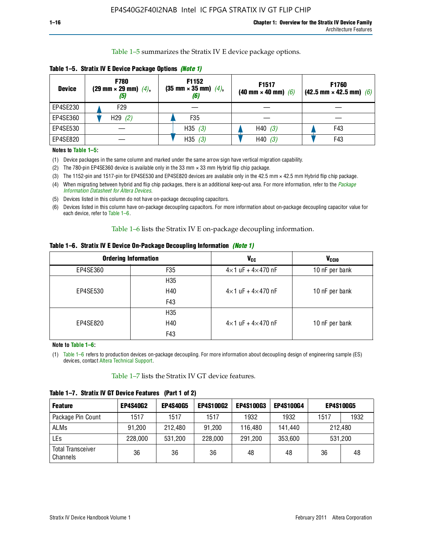Table 1–5 summarizes the Stratix IV E device package options.

| <b>Device</b> | <b>F780</b><br>$(29 \text{ mm} \times 29 \text{ mm})$ $(4)$ ,<br>$\left(5\right)$ | F1152<br>$(35 \text{ mm} \times 35 \text{ mm})$ $(4)$ , | F1517<br>(40 mm $\times$ 40 mm) (6) | F1760<br>$(42.5 \text{ mm} \times 42.5 \text{ mm})$ (6) |
|---------------|-----------------------------------------------------------------------------------|---------------------------------------------------------|-------------------------------------|---------------------------------------------------------|
| EP4SE230      | F29                                                                               |                                                         |                                     |                                                         |
| EP4SE360      | H29(2)                                                                            | F <sub>35</sub>                                         |                                     |                                                         |
| EP4SE530      |                                                                                   | H35 $(3)$                                               | H40(3)                              | F43                                                     |
| EP4SE820      |                                                                                   | H35(3)                                                  | H40(3)                              | F43                                                     |

**Table 1–5. Stratix IV E Device Package Options** *(Note 1)*

#### **Notes to Table 1–5:**

- (1) Device packages in the same column and marked under the same arrow sign have vertical migration capability.
- (2) The 780-pin EP4SE360 device is available only in the 33 mm × 33 mm Hybrid flip chip package.
- (3) The 1152-pin and 1517-pin for EP4SE530 and EP4SE820 devices are available only in the 42.5 mm × 42.5 mm Hybrid flip chip package.
- (4) When migrating between hybrid and flip chip packages, there is an additional keep-out area. For more information, refer to the *[Package](http://www.altera.com/literature/ds/dspkg.pdf)  [Information Datasheet for Altera Devices](http://www.altera.com/literature/ds/dspkg.pdf)*.
- (5) Devices listed in this column do not have on-package decoupling capacitors.
- (6) Devices listed in this column have on-package decoupling capacitors. For more information about on-package decoupling capacitor value for each device, refer to Table 1–6.

Table 1–6 lists the Stratix IV E on-package decoupling information.

|  | Table 1–6. Stratix IV E Device On-Package Decoupling Information <i>(Note 1)</i> |  |  |  |  |  |
|--|----------------------------------------------------------------------------------|--|--|--|--|--|
|--|----------------------------------------------------------------------------------|--|--|--|--|--|

|          | <b>Ordering Information</b> | <b>V<sub>cc</sub></b>               | <b>V<sub>CCIO</sub></b> |
|----------|-----------------------------|-------------------------------------|-------------------------|
| EP4SE360 | F <sub>35</sub>             | $4\times$ 1 uF + $4\times$ 470 nF   | 10 nF per bank          |
|          | H35                         |                                     |                         |
| EP4SE530 | H40                         | $4 \times 1$ uF + $4 \times 470$ nF | 10 nF per bank          |
|          | F43                         |                                     |                         |
|          | H <sub>35</sub>             |                                     |                         |
| EP4SE820 | H40                         | $4 \times 1$ uF + $4 \times 470$ nF | 10 nF per bank          |
|          | F43                         |                                     |                         |

**Note to Table 1–6:**

(1) Table 1–6 refers to production devices on-package decoupling. For more information about decoupling design of engineering sample (ES) devices, contact [Altera Technical Support.](http://mysupport.altera.com/eservice/login.asp)

Table 1–7 lists the Stratix IV GT device features.

| <b>Feature</b>                       | <b>EP4S40G2</b> | <b>EP4S40G5</b> | <b>EP4S100G2</b> | <b>EP4S100G3</b> | <b>EP4S100G4</b> | <b>EP4S100G5</b> |         |
|--------------------------------------|-----------------|-----------------|------------------|------------------|------------------|------------------|---------|
| Package Pin Count                    | 1517            | 1517            | 1517             | 1932             | 1932             | 1517             | 1932    |
| <b>ALMs</b>                          | 91,200          | 212,480         | 91.200           | 116.480          | 141,440          | 212,480          |         |
| LEs                                  | 228,000         | 531,200         | 228,000          | 291,200          | 353,600          |                  | 531,200 |
| <b>Total Transceiver</b><br>Channels | 36              | 36              | 36               | 48               | 48               | 36               | 48      |

**Table 1–7. Stratix IV GT Device Features (Part 1 of 2)**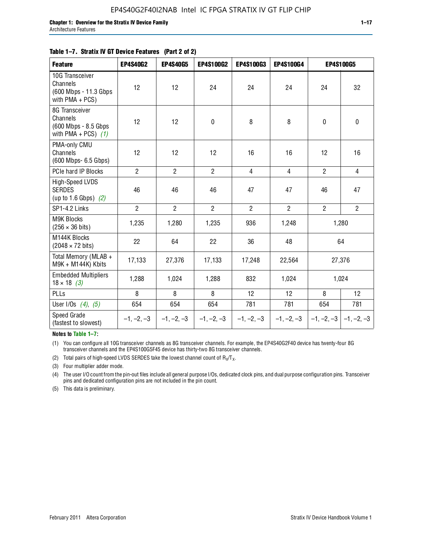#### **Table 1–7. Stratix IV GT Device Features (Part 2 of 2)**

| <b>Feature</b>                                                              | <b>EP4S40G2</b> | <b>EP4S40G5</b> | <b>EP4S100G2</b> | <b>EP4S100G3</b> | <b>EP4S100G4</b> |                           | <b>EP4S100G5</b> |
|-----------------------------------------------------------------------------|-----------------|-----------------|------------------|------------------|------------------|---------------------------|------------------|
| 10G Transceiver<br>Channels<br>(600 Mbps - 11.3 Gbps<br>with $PMA + PCS$ )  | 12              | 12              | 24               | 24               | 24               | 24                        | 32               |
| 8G Transceiver<br>Channels<br>(600 Mbps - 8.5 Gbps<br>with PMA + PCS) $(1)$ | 12              | 12              | $\mathbf 0$      | 8                | 8                | $\mathbf 0$               | $\mathbf 0$      |
| PMA-only CMU<br>Channels<br>(600 Mbps- 6.5 Gbps)                            | 12              | 12              | 12               | 16               | 16               | 12                        | 16               |
| PCIe hard IP Blocks                                                         | $\overline{2}$  | $\overline{2}$  | $\overline{2}$   | $\overline{4}$   | $\overline{4}$   | $\overline{2}$            | $\overline{4}$   |
| High-Speed LVDS<br><b>SERDES</b><br>(up to 1.6 Gbps) $(2)$                  | 46              | 46              | 46               | 47               | 47               | 46                        | 47               |
| SP1-4.2 Links                                                               | $\overline{2}$  | $\overline{2}$  | $\overline{2}$   | $\overline{2}$   | $\overline{2}$   | $\overline{2}$            | $\overline{2}$   |
| <b>M9K Blocks</b><br>$(256 \times 36 \text{ bits})$                         | 1,235           | 1,280           | 1,235            | 936              | 1,248            |                           | 1,280            |
| M144K Blocks<br>$(2048 \times 72 \text{ bits})$                             | 22              | 64              | 22               | 36               | 48               |                           | 64               |
| Total Memory (MLAB +<br>M9K + M144K) Kbits                                  | 17,133          | 27,376          | 17,133           | 17,248           | 22,564           |                           | 27,376           |
| <b>Embedded Multipliers</b><br>$18 \times 18$ (3)                           | 1,288           | 1,024           | 1,288            | 832              | 1,024            |                           | 1,024            |
| PLLs                                                                        | 8               | 8               | 8                | 12               | 12               | 8                         | 12               |
| User I/Os $(4)$ , $(5)$                                                     | 654             | 654             | 654              | 781              | 781              | 654                       | 781              |
| Speed Grade<br>(fastest to slowest)                                         | $-1, -2, -3$    | $-1, -2, -3$    | $-1, -2, -3$     | $-1, -2, -3$     | $-1, -2, -3$     | $-1, -2, -3$ $-1, -2, -3$ |                  |

**Notes to Table 1–7:**

(1) You can configure all 10G transceiver channels as 8G transceiver channels. For example, the EP4S40G2F40 device has twenty-four 8G transceiver channels and the EP4S100G5F45 device has thirty-two 8G transceiver channels.

(2) Total pairs of high-speed LVDS SERDES take the lowest channel count of  $R_X/T_X$ .

(3) Four multiplier adder mode.

(4) The user I/O count from the pin-out files include all general purpose I/Os, dedicated clock pins, and dual purpose configuration pins. Transceiver pins and dedicated configuration pins are not included in the pin count.

(5) This data is preliminary.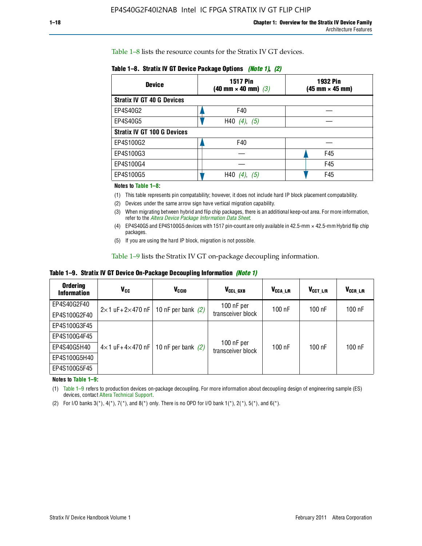Table 1–8 lists the resource counts for the Stratix IV GT devices.

| <b>Device</b>                      | <b>1517 Pin</b><br>$(40 \text{ mm} \times 40 \text{ mm})$ (3) | 1932 Pin<br>(45 mm × 45 mm) |
|------------------------------------|---------------------------------------------------------------|-----------------------------|
| <b>Stratix IV GT 40 G Devices</b>  |                                                               |                             |
| EP4S40G2                           | F40                                                           |                             |
| EP4S40G5                           | H40 $(4)$ , $(5)$                                             |                             |
| <b>Stratix IV GT 100 G Devices</b> |                                                               |                             |
| EP4S100G2                          | F40                                                           |                             |
| EP4S100G3                          |                                                               | F45                         |
| EP4S100G4                          |                                                               | F45                         |
| EP4S100G5                          | H40<br>(5)                                                    | F45                         |

**Table 1–8. Stratix IV GT Device Package Options** *(Note 1)***,** *(2)*

#### **Notes to Table 1–8:**

(1) This table represents pin compatability; however, it does not include hard IP block placement compatability.

- (2) Devices under the same arrow sign have vertical migration capability.
- (3) When migrating between hybrid and flip chip packages, there is an additional keep-out area. For more information, refer to the *[Altera Device Package Information Data Sheet](http://www.altera.com/literature/ds/dspkg.pdf)*.
- (4) EP4S40G5 and EP4S100G5 devices with 1517 pin-count are only available in 42.5-mm × 42.5-mm Hybrid flip chip packages.
- (5) If you are using the hard IP block, migration is not possible.

Table 1–9 lists the Stratix IV GT on-package decoupling information.

**Table 1–9. Stratix IV GT Device On-Package Decoupling Information** *(Note 1)*

| <b>Ordering</b><br><b>Information</b> | V <sub>CC</sub>                 | V <sub>CCIO</sub>                             | V <sub>CCL GXB</sub>            | V <sub>CCA_L/R</sub> | V <sub>CCT L/R</sub> | V <sub>CCR_L/R</sub> |
|---------------------------------------|---------------------------------|-----------------------------------------------|---------------------------------|----------------------|----------------------|----------------------|
| EP4S40G2F40                           |                                 | $2 \times 1$ uF+2×470 nF   10 nF per bank (2) | $100$ nF per                    | 100 nF               | $100$ nF             | $100$ nF             |
| EP4S100G2F40                          |                                 |                                               | transceiver block               |                      |                      |                      |
| EP4S100G3F45                          |                                 |                                               |                                 |                      |                      |                      |
| EP4S100G4F45                          |                                 |                                               |                                 |                      |                      |                      |
| EP4S40G5H40                           | $4\times1$ uF+4 $\times$ 470 nF | 10 nF per bank $(2)$                          | 100 nF per<br>transceiver block | 100 nF               | $100$ nF             | $100$ nF             |
| EP4S100G5H40                          |                                 |                                               |                                 |                      |                      |                      |
| EP4S100G5F45                          |                                 |                                               |                                 |                      |                      |                      |

**Notes to Table 1–9:**

(1) Table 1–9 refers to production devices on-package decoupling. For more information about decoupling design of engineering sample (ES) devices, contact [Altera Technical Support.](http://mysupport.altera.com/eservice/login.asp)

(2) For I/O banks  $3(*)$ ,  $4(*)$ ,  $7(*)$ , and  $8(*)$  only. There is no OPD for I/O bank  $1(*)$ ,  $2(*)$ ,  $5(*)$ , and  $6(*)$ .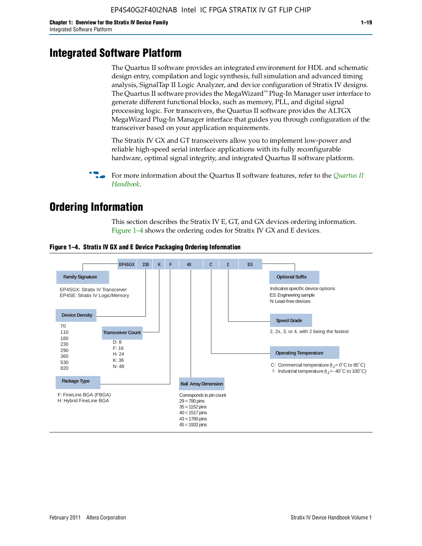### **Integrated Software Platform**

The Quartus II software provides an integrated environment for HDL and schematic design entry, compilation and logic synthesis, full simulation and advanced timing analysis, SignalTap II Logic Analyzer, and device configuration of Stratix IV designs. The Quartus II software provides the MegaWizard™ Plug-In Manager user interface to generate different functional blocks, such as memory, PLL, and digital signal processing logic. For transceivers, the Quartus II software provides the ALTGX MegaWizard Plug-In Manager interface that guides you through configuration of the transceiver based on your application requirements.

The Stratix IV GX and GT transceivers allow you to implement low-power and reliable high-speed serial interface applications with its fully reconfigurable hardware, optimal signal integrity, and integrated Quartus II software platform.

For more information about the [Quartus II](http://www.altera.com/literature/lit-qts.jsp) software features, refer to the *Quartus II [Handbook](http://www.altera.com/literature/lit-qts.jsp)*.

### **Ordering Information**

This section describes the Stratix IV E, GT, and GX devices ordering information. Figure 1–4 shows the ordering codes for Stratix IV GX and E devices.



#### **Figure 1–4. Stratix IV GX and E Device Packaging Ordering Information**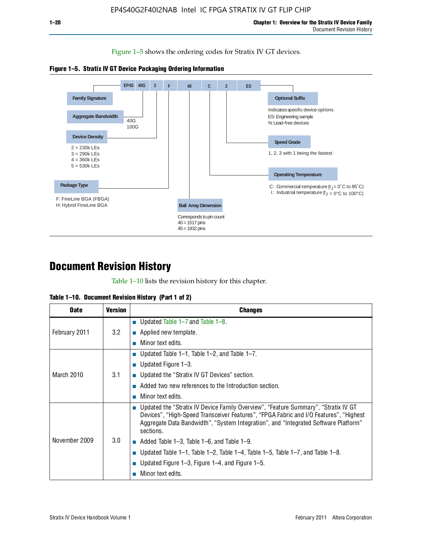Figure 1–5 shows the ordering codes for Stratix IV GT devices.





### **Document Revision History**

Table 1–10 lists the revision history for this chapter.

|  |  | Table 1–10. Document Revision History (Part 1 of 2) |  |
|--|--|-----------------------------------------------------|--|
|--|--|-----------------------------------------------------|--|

| <b>Date</b>   | <b>Version</b> | <b>Changes</b>                                                                                                                                                                                                                                                                  |
|---------------|----------------|---------------------------------------------------------------------------------------------------------------------------------------------------------------------------------------------------------------------------------------------------------------------------------|
| February 2011 | 3.2            | ■ Updated Table $1-7$ and Table $1-8$ .                                                                                                                                                                                                                                         |
|               |                | $\blacksquare$ Applied new template.                                                                                                                                                                                                                                            |
|               |                | Minor text edits.                                                                                                                                                                                                                                                               |
| March 2010    | 3.1            | ■ Updated Table 1–1, Table 1–2, and Table 1–7.                                                                                                                                                                                                                                  |
|               |                | ■ Updated Figure $1-3$ .                                                                                                                                                                                                                                                        |
|               |                | ■ Updated the "Stratix IV GT Devices" section.                                                                                                                                                                                                                                  |
|               |                | Added two new references to the Introduction section.                                                                                                                                                                                                                           |
|               |                | Minor text edits.                                                                                                                                                                                                                                                               |
| November 2009 | 3.0            | Updated the "Stratix IV Device Family Overview", "Feature Summary", "Stratix IV GT<br>Devices", "High-Speed Transceiver Features", "FPGA Fabric and I/O Features", "Highest<br>Aggregate Data Bandwidth", "System Integration", and "Integrated Software Platform"<br>sections. |
|               |                | $\blacksquare$ Added Table 1–3, Table 1–6, and Table 1–9.                                                                                                                                                                                                                       |
|               |                | Updated Table 1–1, Table 1–2, Table 1–4, Table 1–5, Table 1–7, and Table 1–8.                                                                                                                                                                                                   |
|               |                | Updated Figure 1–3, Figure 1–4, and Figure 1–5.                                                                                                                                                                                                                                 |
|               |                | Minor text edits.                                                                                                                                                                                                                                                               |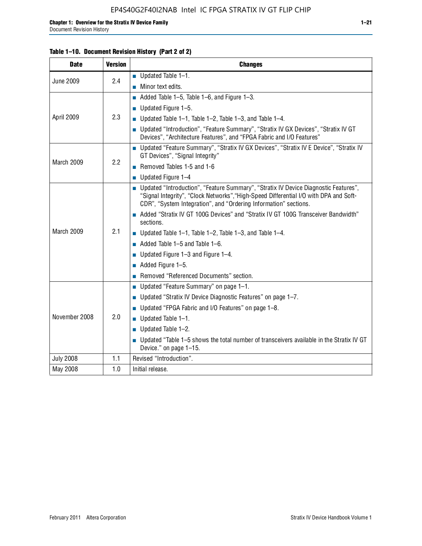| <b>Date</b>      | <b>Version</b> | <b>Changes</b>                                                                                                                                                                                                                                     |  |
|------------------|----------------|----------------------------------------------------------------------------------------------------------------------------------------------------------------------------------------------------------------------------------------------------|--|
| <b>June 2009</b> | 2.4            | $\blacksquare$ Updated Table 1-1.                                                                                                                                                                                                                  |  |
|                  |                | Minor text edits.                                                                                                                                                                                                                                  |  |
|                  | 2.3            | $\blacksquare$ Added Table 1-5, Table 1-6, and Figure 1-3.                                                                                                                                                                                         |  |
|                  |                | Updated Figure 1-5.                                                                                                                                                                                                                                |  |
| April 2009       |                | Updated Table 1–1, Table 1–2, Table 1–3, and Table 1–4.                                                                                                                                                                                            |  |
|                  |                | Updated "Introduction", "Feature Summary", "Stratix IV GX Devices", "Stratix IV GT<br>×<br>Devices", "Architecture Features", and "FPGA Fabric and I/O Features"                                                                                   |  |
| March 2009       | 2.2            | ■ Updated "Feature Summary", "Stratix IV GX Devices", "Stratix IV E Device", "Stratix IV<br>GT Devices", "Signal Integrity"                                                                                                                        |  |
|                  |                | Removed Tables 1-5 and 1-6                                                                                                                                                                                                                         |  |
|                  |                | $\blacksquare$ Updated Figure 1-4                                                                                                                                                                                                                  |  |
| March 2009       | 2.1            | ■ Updated "Introduction", "Feature Summary", "Stratix IV Device Diagnostic Features",<br>"Signal Integrity", "Clock Networks", "High-Speed Differential I/O with DPA and Soft-<br>CDR", "System Integration", and "Ordering Information" sections. |  |
|                  |                | Added "Stratix IV GT 100G Devices" and "Stratix IV GT 100G Transceiver Bandwidth"<br>sections.                                                                                                                                                     |  |
|                  |                | ■ Updated Table 1–1, Table 1–2, Table 1–3, and Table 1–4.                                                                                                                                                                                          |  |
|                  |                | $\blacksquare$ Added Table 1–5 and Table 1–6.                                                                                                                                                                                                      |  |
|                  |                | Updated Figure 1–3 and Figure 1–4.                                                                                                                                                                                                                 |  |
|                  |                | Added Figure 1-5.                                                                                                                                                                                                                                  |  |
|                  |                | Removed "Referenced Documents" section.                                                                                                                                                                                                            |  |
|                  | 2.0            | Updated "Feature Summary" on page 1-1.<br>m,                                                                                                                                                                                                       |  |
|                  |                | Updated "Stratix IV Device Diagnostic Features" on page 1-7.                                                                                                                                                                                       |  |
|                  |                | Updated "FPGA Fabric and I/O Features" on page 1-8.                                                                                                                                                                                                |  |
| November 2008    |                | Updated Table 1-1.                                                                                                                                                                                                                                 |  |
|                  |                | Updated Table 1-2.<br>×                                                                                                                                                                                                                            |  |
|                  |                | Updated "Table 1–5 shows the total number of transceivers available in the Stratix IV GT<br>Device." on page 1-15.                                                                                                                                 |  |
| <b>July 2008</b> | 1.1            | Revised "Introduction".                                                                                                                                                                                                                            |  |
| May 2008         | 1.0            | Initial release.                                                                                                                                                                                                                                   |  |